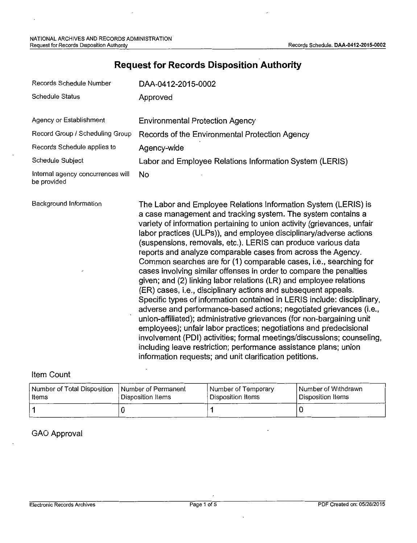| Records Schedule Number                          | DAA-0412-2015-0002                                                                                                                                                                                                                                                                                                                                                                                                                                                                                                                                                                                                                                                                                                                                                                                                                                                                                                                                                                                                                                                                                                                                                                                            |  |  |
|--------------------------------------------------|---------------------------------------------------------------------------------------------------------------------------------------------------------------------------------------------------------------------------------------------------------------------------------------------------------------------------------------------------------------------------------------------------------------------------------------------------------------------------------------------------------------------------------------------------------------------------------------------------------------------------------------------------------------------------------------------------------------------------------------------------------------------------------------------------------------------------------------------------------------------------------------------------------------------------------------------------------------------------------------------------------------------------------------------------------------------------------------------------------------------------------------------------------------------------------------------------------------|--|--|
| Schedule Status                                  | Approved                                                                                                                                                                                                                                                                                                                                                                                                                                                                                                                                                                                                                                                                                                                                                                                                                                                                                                                                                                                                                                                                                                                                                                                                      |  |  |
| Agency or Establishment                          | <b>Environmental Protection Agency</b>                                                                                                                                                                                                                                                                                                                                                                                                                                                                                                                                                                                                                                                                                                                                                                                                                                                                                                                                                                                                                                                                                                                                                                        |  |  |
| Record Group / Scheduling Group                  | Records of the Environmental Protection Agency                                                                                                                                                                                                                                                                                                                                                                                                                                                                                                                                                                                                                                                                                                                                                                                                                                                                                                                                                                                                                                                                                                                                                                |  |  |
| Records Schedule applies to                      | Agency-wide                                                                                                                                                                                                                                                                                                                                                                                                                                                                                                                                                                                                                                                                                                                                                                                                                                                                                                                                                                                                                                                                                                                                                                                                   |  |  |
| Schedule Subject                                 | Labor and Employee Relations Information System (LERIS)                                                                                                                                                                                                                                                                                                                                                                                                                                                                                                                                                                                                                                                                                                                                                                                                                                                                                                                                                                                                                                                                                                                                                       |  |  |
| Internal agency concurrences will<br>be provided | No                                                                                                                                                                                                                                                                                                                                                                                                                                                                                                                                                                                                                                                                                                                                                                                                                                                                                                                                                                                                                                                                                                                                                                                                            |  |  |
| Background Information                           | The Labor and Employee Relations Information System (LERIS) is<br>a case management and tracking system. The system contains a<br>variety of information pertaining to union activity (grievances, unfair<br>labor practices (ULPs)), and employee disciplinary/adverse actions<br>(suspensions, removals, etc.). LERIS can produce various data<br>reports and analyze comparable cases from across the Agency.<br>Common searches are for (1) comparable cases, i.e., searching for<br>cases involving similar offenses in order to compare the penalties<br>given; and (2) linking labor relations (LR) and employee relations<br>(ER) cases, i.e., disciplinary actions and subsequent appeals.<br>Specific types of information contained in LERIS include: disciplinary,<br>adverse and performance-based actions; negotiated grievances (i.e.,<br>union-affiliated); administrative grievances (for non-bargaining unit<br>employees); unfair labor practices; negotiations and predecisional<br>involvement (PDI) activities; formal meetings/discussions; counseling,<br>including leave restriction; performance assistance plans; union<br>information requests; and unit clarification petitions. |  |  |

# **Request for Records Disposition Authority**

### Item Count

| l Number of Total Disposition | Number of Permanent | Number of Temporary | Number of Withdrawn |
|-------------------------------|---------------------|---------------------|---------------------|
| Items                         | Disposition Items   | Disposition Items   | Disposition Items   |
|                               |                     |                     |                     |

### GAO Approval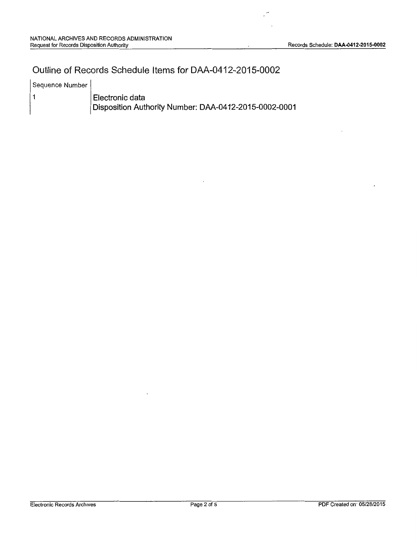### Outline of Records Schedule Items for DAA-0412-2015-0002

| Sequence Number |  |
|-----------------|--|
|-----------------|--|

1

Electronic data Disposition Authority Number: DAA-0412-2015-0002-0001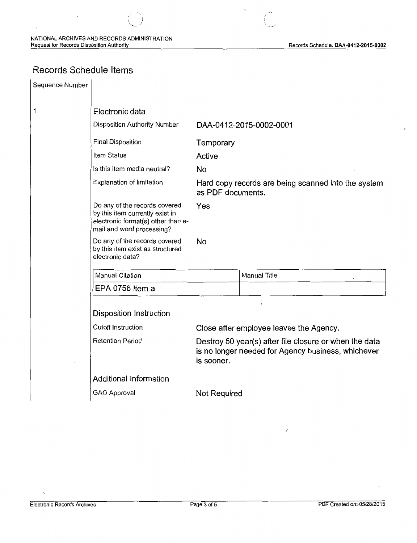### Records Schedule Items

| Sequence Number |                                                                                                                                     |                                                                          |                                                                                                              |  |
|-----------------|-------------------------------------------------------------------------------------------------------------------------------------|--------------------------------------------------------------------------|--------------------------------------------------------------------------------------------------------------|--|
| 1               | Electronic data                                                                                                                     |                                                                          |                                                                                                              |  |
|                 | Disposition Authority Number                                                                                                        | DAA-0412-2015-0002-0001                                                  |                                                                                                              |  |
|                 | <b>Final Disposition</b>                                                                                                            | Temporary                                                                |                                                                                                              |  |
|                 | Item Status                                                                                                                         | Active                                                                   |                                                                                                              |  |
|                 | Is this item media neutral?                                                                                                         | <b>No</b>                                                                |                                                                                                              |  |
|                 | Explanation of limitation                                                                                                           | Hard copy records are being scanned into the system<br>as PDF documents. |                                                                                                              |  |
|                 | Do any of the records covered<br>by this item currently exist in<br>electronic format(s) other than e-<br>mail and word processing? | Yes                                                                      |                                                                                                              |  |
|                 | Do any of the records covered<br>by this item exist as structured<br>electronic data?                                               | No                                                                       |                                                                                                              |  |
|                 | <b>Manual Citation</b>                                                                                                              |                                                                          | <b>Manual Title</b>                                                                                          |  |
|                 | EPA 0756 Item a                                                                                                                     |                                                                          |                                                                                                              |  |
|                 | <b>Disposition Instruction</b>                                                                                                      |                                                                          |                                                                                                              |  |
|                 | <b>Cutoff Instruction</b>                                                                                                           | Close after employee leaves the Agency.                                  |                                                                                                              |  |
|                 | <b>Retention Period</b>                                                                                                             | is sooner.                                                               | Destroy 50 year(s) after file closure or when the data<br>is no longer needed for Agency business, whichever |  |
|                 | <b>Additional Information</b>                                                                                                       |                                                                          |                                                                                                              |  |
|                 | <b>GAO Approval</b>                                                                                                                 | Not Required                                                             |                                                                                                              |  |

 $\sqrt{2}$